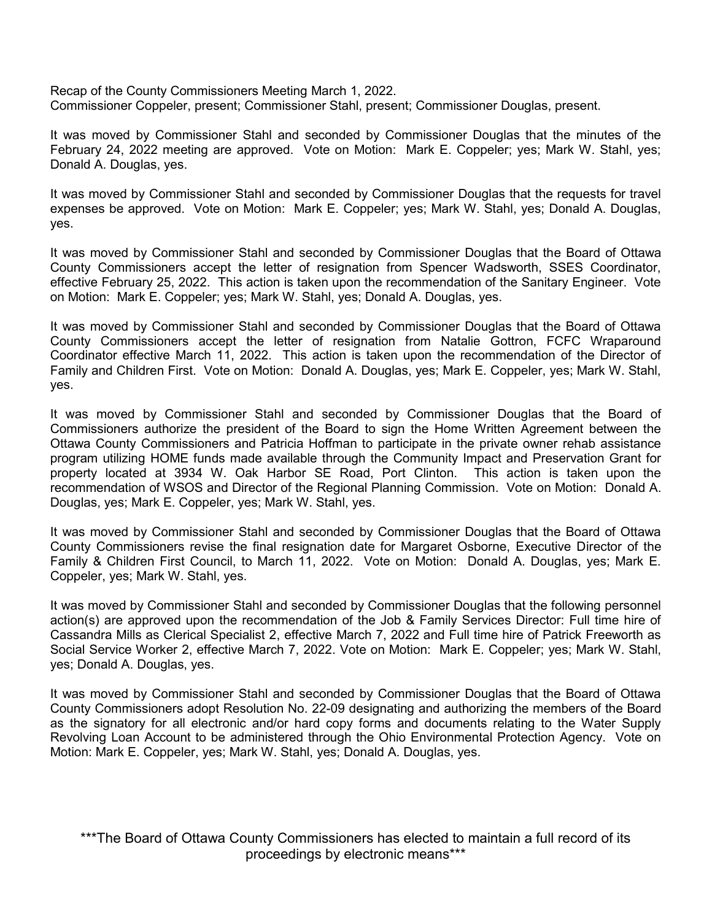Recap of the County Commissioners Meeting March 1, 2022. Commissioner Coppeler, present; Commissioner Stahl, present; Commissioner Douglas, present.

It was moved by Commissioner Stahl and seconded by Commissioner Douglas that the minutes of the February 24, 2022 meeting are approved. Vote on Motion: Mark E. Coppeler; yes; Mark W. Stahl, yes; Donald A. Douglas, yes.

It was moved by Commissioner Stahl and seconded by Commissioner Douglas that the requests for travel expenses be approved. Vote on Motion: Mark E. Coppeler; yes; Mark W. Stahl, yes; Donald A. Douglas, yes.

It was moved by Commissioner Stahl and seconded by Commissioner Douglas that the Board of Ottawa County Commissioners accept the letter of resignation from Spencer Wadsworth, SSES Coordinator, effective February 25, 2022. This action is taken upon the recommendation of the Sanitary Engineer. Vote on Motion: Mark E. Coppeler; yes; Mark W. Stahl, yes; Donald A. Douglas, yes.

It was moved by Commissioner Stahl and seconded by Commissioner Douglas that the Board of Ottawa County Commissioners accept the letter of resignation from Natalie Gottron, FCFC Wraparound Coordinator effective March 11, 2022. This action is taken upon the recommendation of the Director of Family and Children First. Vote on Motion: Donald A. Douglas, yes; Mark E. Coppeler, yes; Mark W. Stahl, yes.

It was moved by Commissioner Stahl and seconded by Commissioner Douglas that the Board of Commissioners authorize the president of the Board to sign the Home Written Agreement between the Ottawa County Commissioners and Patricia Hoffman to participate in the private owner rehab assistance program utilizing HOME funds made available through the Community Impact and Preservation Grant for property located at 3934 W. Oak Harbor SE Road, Port Clinton. This action is taken upon the recommendation of WSOS and Director of the Regional Planning Commission. Vote on Motion: Donald A. Douglas, yes; Mark E. Coppeler, yes; Mark W. Stahl, yes.

It was moved by Commissioner Stahl and seconded by Commissioner Douglas that the Board of Ottawa County Commissioners revise the final resignation date for Margaret Osborne, Executive Director of the Family & Children First Council, to March 11, 2022. Vote on Motion: Donald A. Douglas, yes; Mark E. Coppeler, yes; Mark W. Stahl, yes.

It was moved by Commissioner Stahl and seconded by Commissioner Douglas that the following personnel action(s) are approved upon the recommendation of the Job & Family Services Director: Full time hire of Cassandra Mills as Clerical Specialist 2, effective March 7, 2022 and Full time hire of Patrick Freeworth as Social Service Worker 2, effective March 7, 2022. Vote on Motion: Mark E. Coppeler; yes; Mark W. Stahl, yes; Donald A. Douglas, yes.

It was moved by Commissioner Stahl and seconded by Commissioner Douglas that the Board of Ottawa County Commissioners adopt Resolution No. 22-09 designating and authorizing the members of the Board as the signatory for all electronic and/or hard copy forms and documents relating to the Water Supply Revolving Loan Account to be administered through the Ohio Environmental Protection Agency. Vote on Motion: Mark E. Coppeler, yes; Mark W. Stahl, yes; Donald A. Douglas, yes.

\*\*\*The Board of Ottawa County Commissioners has elected to maintain a full record of its proceedings by electronic means\*\*\*